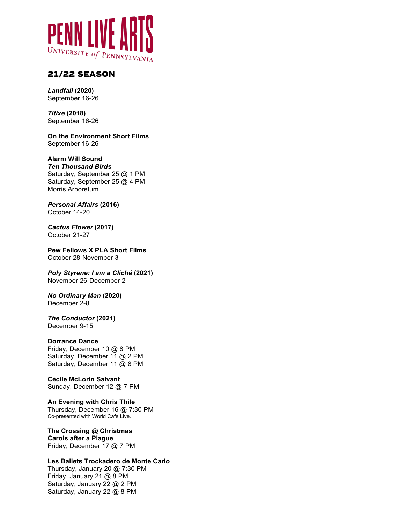

# **21/22 SEASON**

*Landfall* **(2020)** September 16-26

*Titixe* **(2018)** September 16-26

**On the Environment Short Films** September 16-26

#### **Alarm Will Sound** *Ten Thousand Birds* Saturday, September 25 @ 1 PM Saturday, September 25 @ 4 PM

Morris Arboretum

*Personal Affairs* **(2016)** October 14-20

*Cactus Flower* **(2017)** October 21-27

**Pew Fellows X PLA Short Films** October 28-November 3

*Poly Styrene: I am a Cliché* **(2021)** November 26-December 2

*No Ordinary Man* **(2020)** December 2-8

*The Conductor* **(2021)** December 9-15

#### **Dorrance Dance** Friday, December 10 @ 8 PM Saturday, December 11 @ 2 PM

Saturday, December 11 @ 8 PM

**Cécile McLorin Salvant** Sunday, December 12 @ 7 PM

**An Evening with Chris Thile** Thursday, December 16 @ 7:30 PM Co-presented with World Cafe Live.

**The Crossing @ Christmas Carols after a Plague** Friday, December 17 @ 7 PM

**Les Ballets Trockadero de Monte Carlo**

Thursday, January 20 @ 7:30 PM Friday, January 21 @ 8 PM Saturday, January 22 @ 2 PM Saturday, January 22 @ 8 PM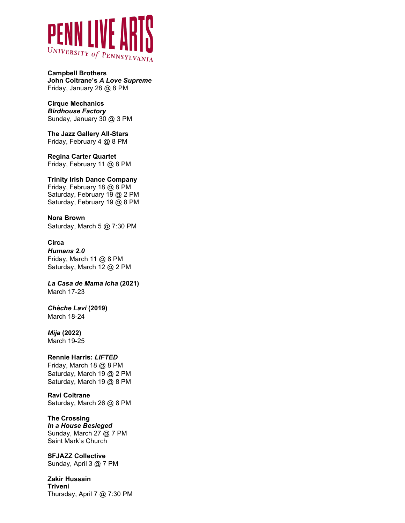

**Campbell Brothers John Coltrane's** *A Love Supreme* Friday, January 28 @ 8 PM

**Cirque Mechanics** *Birdhouse Factory* Sunday, January 30 @ 3 PM

**The Jazz Gallery All-Stars** Friday, February 4 @ 8 PM

**Regina Carter Quartet** Friday, February 11 @ 8 PM

**Trinity Irish Dance Company** Friday, February 18 @ 8 PM

Saturday, February 19 @ 2 PM Saturday, February 19 @ 8 PM

**Nora Brown** Saturday, March 5 @ 7:30 PM

**Circa**

*Humans 2.0* Friday, March 11 @ 8 PM Saturday, March 12 @ 2 PM

*La Casa de Mama Icha* **(2021)** March 17-23

*Chèche Lavi* **(2019)** March 18-24

### *Mija* **(2022)**

March 19-25

### **Rennie Harris:** *LIFTED*

Friday, March 18 @ 8 PM Saturday, March 19 @ 2 PM Saturday, March 19 @ 8 PM

**Ravi Coltrane** Saturday, March 26 @ 8 PM

### **The Crossing**

*In a House Besieged* Sunday, March 27 @ 7 PM Saint Mark's Church

**SFJAZZ Collective**

Sunday, April 3 @ 7 PM

**Zakir Hussain Triveni** Thursday, April 7 @ 7:30 PM